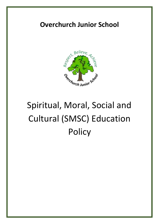# **Overchurch Junior School**



# Spiritual, Moral, Social and Cultural (SMSC) Education **Policy**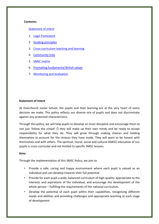#### **Contents:**

#### Statement of intent

- 1. Legal framework
- 2. Guiding principles
- 3. Cross-curriculum teaching and learning
- 4. Community links
- 5. SMSC matrix
- 6. Promoting fundamental British values
- 7. Monitoring and evaluation

#### **Statement of intent**

At Overchurch Junior School, the pupils and their learning are at the very heart of every decision we make. This policy reflects our diverse mix of pupils and does not discriminate against any protected characteristics.

Through this policy, we will help pupils to develop an inner discipline and encourage them to not just 'follow the crowd'  $\Box$  they will make up their own minds and be ready to accept responsibility for what they do. They will grow through making choices and holding themselves to account for the choices they have made. They will want to be honest with themselves and with others. The spiritual, moral, social and cultural (SMSC) education of our pupils is cross-curricular and not limited to specific SMSC lessons.

#### **Aims**

Through the implementation of this SMSC Policy, we aim to:

- Provide a safe, caring and happy environment where each pupil is valued as an individual and can develop towards their full potential.
- Provide for each pupil a wide, balanced curriculum of high-quality, appropriate to the interests and aspirations of the individual, and encourage the development of the whole person – fulfilling the requirements of the national curriculum.
- Develop the potential of each pupil within their capabilities, recognising different needs and abilities and providing challenges and appropriate teaching at each stage of development.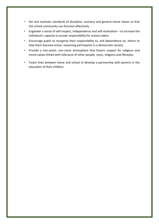- Set and maintain standards of discipline, courtesy and general moral values so that the school community can function effectively.
- Engender a sense of self-respect, independence and self-motivation to increase the individual's capacity to accept responsibility for actions taken.
- Encourage pupils to recognise their responsibility to, and dependence on, others to help them become active, reasoning participants in a democratic society.
- Provide a non-sexist, non-racist atmosphere that fosters respect for religious and moral values linked with tolerance of other people, races, religions and lifestyles.
- Foster links between home and school to develop a partnership with parents in the education of their children.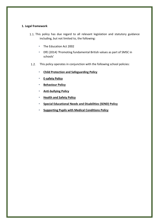#### **1. Legal framework**

- 1.1. This policy has due regard to all relevant legislation and statutory guidance including, but not limited to, the following:
	- The Education Act 2002
	- DfE (2014) 'Promoting fundamental British values as part of SMSC in schools'
- 1.2. This policy operates in conjunction with the following school policies:
	- **Child Protection and Safeguarding Policy**
	- **E-safety Policy**
	- **Behaviour Policy**
	- **Anti-bullying Policy**
	- **Health and Safety Policy**
	- **Special Educational Needs and Disabilities (SEND) Policy**
	- **Supporting Pupils with Medical Conditions Policy**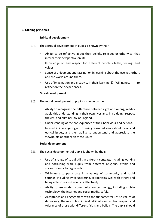## **2. Guiding principles**

#### **Spiritual development**

- $2.1.$ The spiritual development of pupils is shown by their:
	- Ability to be reflective about their beliefs, religious or otherwise, that inform their perspective on life.
	- Knowledge of, and respect for, different people's faiths, feelings and values.
	- Sense of enjoyment and fascination in learning about themselves, others and the world around them.
	- Use of imagination and creativity in their learning.  $\Box$  Willingness to reflect on their experiences.

#### **Moral development**

- The moral development of pupils is shown by their:  $2.2.$ 
	- Ability to recognise the difference between right and wrong, readily apply this understanding in their own lives and, in so doing, respect the civil and criminal law of England.
	- Understanding of the consequences of their behaviour and actions.
	- Interest in investigating and offering reasoned views about moral and ethical issues, and their ability to understand and appreciate the viewpoints of others on these issues.

#### **Social development**

- $2.3.$ The social development of pupils is shown by their:
	- Use of a range of social skills in different contexts, including working and socialising with pupils from different religious, ethnic and socioeconomic backgrounds.
	- Willingness to participate in a variety of community and social settings, including by volunteering, cooperating well with others and being able to resolve conflicts effectively.
	- Ability to use modern communication technology, including mobile technology, the internet and social media, safely.
	- Acceptance and engagement with the fundamental British values of democracy, the rule of law, individual liberty and mutual respect, and tolerance of those with different faiths and beliefs. The pupils should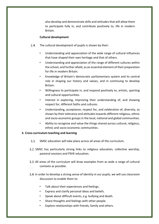also develop and demonstrate skills and attitudes that will allow them to participate fully in, and contribute positively to, life in modern Britain.

### **Cultural development**

- The cultural development of pupils is shown by their:  $2.4.$ 
	- Understanding and appreciation of the wide range of cultural influences that have shaped their own heritage and that of others.
	- Understanding and appreciation of the range of different cultures within the school, and further afield, as an essential element of their preparation for life in modern Britain.
	- Knowledge of Britain's democratic parliamentary system and its central role in shaping our history and values, and in continuing to develop Britain.
	- Willingness to participate in, and respond positively to, artistic, sporting and cultural opportunities.
	- Interest in exploring, improving their understanding of, and showing respect for, different faiths and cultures.
	- Understanding, acceptance, respect for, and celebration of, diversity, as shown by their tolerance and attitudes towards different religious, ethnic and socio-economic groups in the local, national and global communities.
	- Ability to recognise and value the things shared across cultural, religious, ethnic and socio-economic communities.

# **3. Cross-curriculum teaching and learning**

- $3.1.$ SMSC education will take place across all areas of the curriculum.
- 3.2. SMSC has particularly strong links to religious education, collective worship, pastoral sessions and PSHE education.
- All areas of the curriculum will draw examples from as wide a range of cultural contexts as possible.
- In order to develop a strong sense of identity in our pupils, we will use classroom discussion to enable them to:
	- Talk about their experiences and feelings.
	- Express and clarify personal ideas and beliefs.
	- Speak about difficult events, e.g. bullying and death.
	- Share thoughts and feelings with other people.
	- Explore relationships with friends, family and others.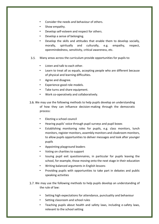- Consider the needs and behaviour of others.
- Show empathy.
- Develop self-esteem and respect for others.
- Develop a sense of belonging.
- Develop the skills and attitudes that enable them to develop socially, morally, spiritually and culturally, e.g. empathy, respect, openmindedness, sensitivity, critical awareness, etc.
- Many areas across the curriculum provide opportunities for pupils to:
	- Listen and talk to each other.
	- Learn to treat all as equals, accepting people who are different because of physical and learning difficulties.
	- Agree and disagree.
	- Experience good role models.
	- Take turns and share equipment.
	- Work co-operatively and collaboratively.
- 3.6. We may use the following methods to help pupils develop an understanding of how they can influence decision-making through the democratic process:
	- Electing a school council
	- Hearing pupils' voice through pupil surveys and pupil boxes
	- Establishing monitoring roles for pupils, e.g. class monitors, lunch monitors, register monitors, assembly monitors and cloakroom monitors, to allow pupils opportunities to deliver messages and look after younger pupils
	- Appointing playground leaders
	- Voting on charities to support
	- Issuing pupil exit questionnaires, in particular for pupils leaving the school, for example, those moving onto the next stage in their education
	- Writing balanced arguments in English lessons
	- Providing pupils with opportunities to take part in debates and public speaking activities
- 3.7. We may use the following methods to help pupils develop an understanding of the rule of law:
	- Setting high expectations for attendance, punctuality and behaviour
	- Setting classroom and school rules
	- Teaching pupils about health and safety laws, including e-safety laws, relevant to the school setting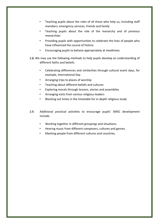- Teaching pupils about the roles of all those who help us, including staff members, emergency services, friends and family
- Teaching pupils about the role of the monarchy and of previous monarchies
- Providing pupils with opportunities to celebrate the lives of people who have influenced the course of history
- Encouraging pupils to behave appropriately at mealtimes.
- 3.8. We may use the following methods to help pupils develop an understanding of different faiths and beliefs:
	- Celebrating differences and similarities through cultural event days, for example, International Day
	- Arranging trips to places of worship
	- Teaching about different beliefs and cultures
	- Exploring morals through lessons, stories and assemblies
	- Arranging visits from various religious leaders
	- Blocking out times in the timetable for in-depth religious study
- $3.9.$ Additional practical activities to encourage pupils' SMSC development include:
	- Working together in different groupings and situations.
	- Hearing music from different composers, cultures and genres.
	- Meeting people from different cultures and countries.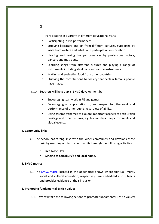Participating in a variety of different educational visits.

- Participating in live performances.
- Studying literature and art from different cultures, supported by visits from writers and artists and participation in workshops.
- Hearing and seeing live performances by professional actors, dancers and musicians.
- Learning songs from different cultures and playing a range of instruments including steel pans and samba instruments.
- Making and evaluating food from other countries.
- Studying the contributions to society that certain famous people have made.
- 3.10. Teachers will help pupils' SMSC development by:
	- Encouraging teamwork in PE and games.
	- Encouraging an appreciation of, and respect for, the work and performance of other pupils, regardless of ability.
	- Using assembly themes to explore important aspects of both British heritage and other cultures, e.g. festival days, the patron saints and global events.

#### **4. Community links**

- 4.1. The school has strong links with the wider community and develops these links by reaching out to the community through the following activities:
	- **Red Nose Day**
	- **Singing at Sainsbury's and local home.**

#### **5. SMSC matrix**

5.1. The **SMSC** matrix located in the appendices shows where spiritual, moral, social and cultural education, respectively, are embedded into subjects and provides evidence of their inclusion.

#### **6. Promoting fundamental British values**

We will take the following actions to promote fundamental British values: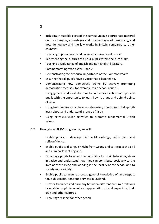- Including in suitable parts of the curriculum age-appropriate material on the strengths, advantages and disadvantages of democracy, and how democracy and the law works in Britain compared to other countries.
- Teaching pupils a broad and balanced international history.
- Representing the cultures of all our pupils within the curriculum.
- Teaching a wide range of English and non-English literature. Commemorating World War 1 and 2.
- Demonstrating the historical importance of the Commonwealth.
- Ensuring that all pupils have a voice that is listened to.
- Demonstrating how democracy works by actively promoting democratic processes, for example, via a school council.
- Using general and local elections to hold mock elections and provide pupils with the opportunity to learn how to argue and defend points of view.
- Using teaching resources from a wide variety of sources to help pupils learn about and understand a range of faiths.
- Using extra-curricular activities to promote fundamental British values.
- $6.2.$ Through our SMSC programme, we will:
	- Enable pupils to develop their self-knowledge, self-esteem and selfconfidence.
	- Enable pupils to distinguish right from wrong and to respect the civil and criminal law of England.
	- Encourage pupils to accept responsibility for their behaviour, show initiative and understand how they can contribute positively to the lives of those living and working in the locality of the school and to society more widely.
	- Enable pupils to acquire a broad general knowledge of, and respect for, public institutions and services in England.
	- Further tolerance and harmony between different cultural traditions by enabling pupils to acquire an appreciation of, and respect for, their own and other cultures.
	- Encourage respect for other people.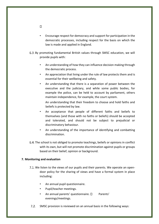- Encourage respect for democracy and support for participation in the democratic processes, including respect for the basis on which the law is made and applied in England.
- By promoting fundamental British values through SMSC education, we will provide pupils with:
	- An understanding of how they can influence decision making through the democratic process.
	- An appreciation that living under the rule of law protects them and is essential for their wellbeing and safety.
	- An understanding that there is a separation of power between the executive and the judiciary, and while some public bodies, for example the police, can be held to account by parliament, others maintain independence, for example, the court system.

An understanding that their freedom to choose and hold faiths and beliefs is protected by law.

- An acceptance that people of different faiths and beliefs to themselves (and those with no faiths or beliefs) should be accepted and tolerated, and should not be subject to prejudicial or discriminatory behaviour.
- An understanding of the importance of identifying and combatting discrimination.
- The school is not obliged to promote teachings, beliefs or opinions in conflict with its own, but will not promote discrimination against pupils or groups based on their belief, opinion or background.

# **7. Monitoring and evaluation**

- 7.1. We listen to the views of our pupils and their parents. We operate an opendoor policy for the sharing of views and have a formal system in place including:
	- An annual pupil questionnaire.
	- Pupil/teacher meetings.
	- An annual parents' questionnaire.  $\Box$  Parents' evenings/meetings.
- $7.2.$ SMSC provision is reviewed on an annual basis in the following ways: